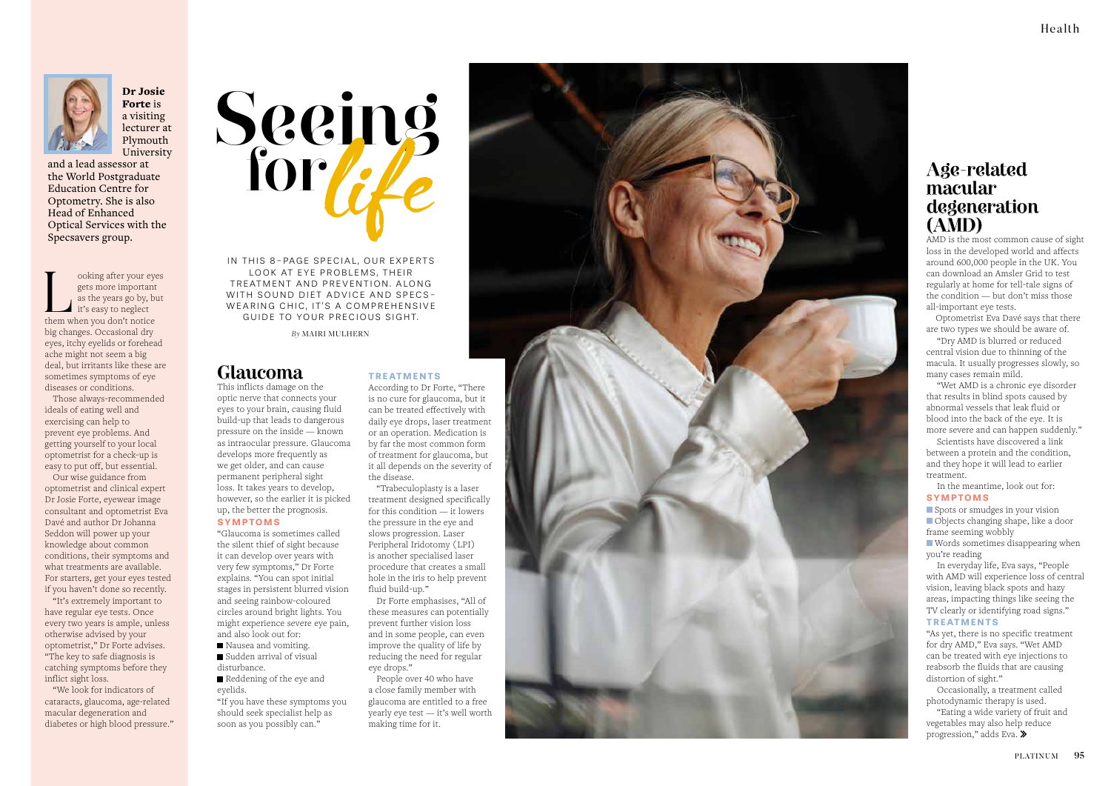## **Glaucoma**

#### This inflicts damage on the optic nerve that connects your eyes to your brain, causing fluid build-up that leads to dangerous pressure on the inside — known as intraocular pressure. Glaucoma develops more frequently as we get older, and can cause permanent peripheral sight loss. It takes years to develop, however, so the earlier it is picked up, the better the prognosis.

#### **SYMPTOMS**

- Nausea and vomiting.
- Sudden arrival of visual disturbance.
- Reddening of the eye and eyelids.

"Glaucoma is sometimes called the silent thief of sight because it can develop over years with very few symptoms," Dr Forte explains. "You can spot initial stages in persistent blurred vision and seeing rainbow-coloured circles around bright lights. You might experience severe eye pain, and also look out for:

IN THIS 8-PAGE SPECIAL, OUR EXPERTS LOOK AT EYE PROBLEMS, THEIR TREATMENT AND PREVENTION. ALONG WITH SOUND DIET ADVICE AND SPECS-WEARING CHIC, IT'S A COMPREHENSIVE GUIDE TO YOUR PRECIOUS SIGHT.

ooking after your eyes<br>gets more important<br>as the years go by, but<br>it's easy to neglect<br>them when you don't notice gets more important as the years go by, but it's easy to neglect big changes. Occasional dry eyes, itchy eyelids or forehead ache might not seem a big deal, but irritants like these are sometimes symptoms of eye diseases or conditions.

> "If you have these symptoms you should seek specialist help as soon as you possibly can."





Dr Josie Forte is a visiting lecturer at Plymouth University

and a lead assessor at the World Postgraduate Education Centre for Optometry. She is also Head of Enhanced Optical Services with the Specsavers group.

> Spots or smudges in your vision Objects changing shape, like a door frame seeming wobbly

Those always-recommended ideals of eating well and exercising can help to prevent eye problems. And getting yourself to your local optometrist for a check-up is easy to put off, but essential.

Our wise guidance from optometrist and clinical expert Dr Josie Forte, eyewear image consultant and optometrist Eva Davé and author Dr Johanna Seddon will power up your knowledge about common conditions, their symptoms and what treatments are available. For starters, get your eyes tested if you haven't done so recently.

"It's extremely important to have regular eye tests. Once every two years is ample, unless otherwise advised by your optometrist," Dr Forte advises. "The key to safe diagnosis is catching symptoms before they inflict sight loss.

"We look for indicators of cataracts, glaucoma, age-related macular degeneration and diabetes or high blood pressure."

## **Age-related macular degeneration (AMD)**

AMD is the most common cause of sight loss in the developed world and affects around 600,000 people in the UK. You can download an Amsler Grid to test regularly at home for tell-tale signs of the condition — but don't miss those all-important eye tests.

 Optometrist Eva Davé says that there are two types we should be aware of.

"Dry AMD is blurred or reduced central vision due to thinning of the macula. It usually progresses slowly, so many cases remain mild.

"Wet AMD is a chronic eye disorder that results in blind spots caused by abnormal vessels that leak fluid or blood into the back of the eye. It is more severe and can happen suddenly."

Scientists have discovered a link between a protein and the condition, and they hope it will lead to earlier treatment.

In the meantime, look out for: **SYMPTOMS**

 Words sometimes disappearing when you're reading

In everyday life, Eva says, "People with AMD will experience loss of central vision, leaving black spots and hazy areas, impacting things like seeing the TV clearly or identifying road signs." **TREATMENTS**

"As yet, there is no specific treatment for dry AMD," Eva says. "Wet AMD can be treated with eye injections to reabsorb the fluids that are causing distortion of sight."

Occasionally, a treatment called photodynamic therapy is used.

"Eating a wide variety of fruit and vegetables may also help reduce progression," adds Eva.

### **TREATMENTS**

According to Dr Forte, "There is no cure for glaucoma, but it can be treated effectively with daily eye drops, laser treatment or an operation. Medication is by far the most common form of treatment for glaucoma, but it all depends on the severity of the disease.

"Trabeculoplasty is a laser treatment designed specifically for this condition — it lowers the pressure in the eye and slows progression. Laser Peripheral Iridotomy (LPI) is another specialised laser procedure that creates a small hole in the iris to help prevent fluid build-up."

Dr Forte emphasises, "All of these measures can potentially prevent further vision loss and in some people, can even improve the quality of life by reducing the need for regular eye drops."

People over 40 who have a close family member with glaucoma are entitled to a free yearly eye test — it's well worth making time for it.



*By* MAIRI MULHERN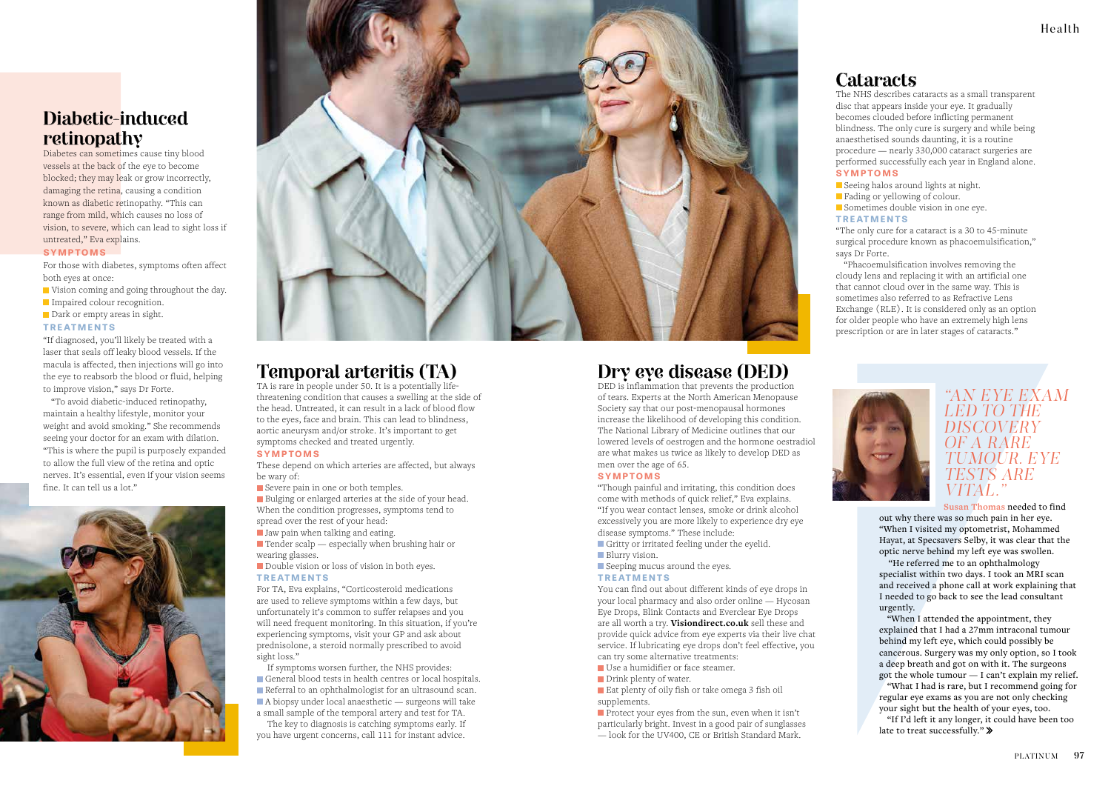## **Temporal arteritis (TA)**

TA is rare in people under 50. It is a potentially lifethreatening condition that causes a swelling at the side of the head. Untreated, it can result in a lack of blood flow to the eyes, face and brain. This can lead to blindness, aortic aneurysm and/or stroke. It's important to get symptoms checked and treated urgently.

 $\Box$  Tender scalp — especially when brushing hair or wearing glasses.

Double vision or loss of vision in both eyes.

### **SYMPTOMS**

These depend on which arteries are affected, but always be wary of:

Severe pain in one or both temples.

Bulging or enlarged arteries at the side of your head. When the condition progresses, symptoms tend to

- spread over the rest of your head:
- Jaw pain when talking and eating.

#### **TREATMENTS**

For TA, Eva explains, "Corticosteroid medications are used to relieve symptoms within a few days, but unfortunately it's common to suffer relapses and you will need frequent monitoring. In this situation, if you're experiencing symptoms, visit your GP and ask about prednisolone, a steroid normally prescribed to avoid sight loss."

- Vision coming and going throughout the day.
- Impaired colour recognition.
- Dark or empty areas in sight.

If symptoms worsen further, the NHS provides: General blood tests in health centres or local hospitals. Referral to an ophthalmologist for an ultrasound scan.  $\blacksquare$  A biopsy under local anaesthetic — surgeons will take a small sample of the temporal artery and test for TA.

The key to diagnosis is catching symptoms early. If you have urgent concerns, call 111 for instant advice.

## **Diabetic-induced retinopathy**

Diabetes can sometimes cause tiny blood vessels at the back of the eye to become blocked; they may leak or grow incorrectly, damaging the retina, causing a condition known as diabetic retinopathy. "This can range from mild, which causes no loss of vision, to severe, which can lead to sight loss if untreated," Eva explains.

## **SYMPTOMS**

For those with diabetes, symptoms often affect both eyes at once:

#### **TREATMENTS**

"If diagnosed, you'll likely be treated with a laser that seals off leaky blood vessels. If the macula is affected, then injections will go into the eye to reabsorb the blood or fluid, helping to improve vision," says Dr Forte.

"To avoid diabetic-induced retinopathy, maintain a healthy lifestyle, monitor your weight and avoid smoking." She recommends seeing your doctor for an exam with dilation. "This is where the pupil is purposely expanded to allow the full view of the retina and optic nerves. It's essential, even if your vision seems fine. It can tell us a lot."





- Use a humidifier or face steamer.
- Drink plenty of water.
- Eat plenty of oily fish or take omega 3 fish oil supplements.
- **Protect your eyes from the sun, even when it isn't** particularly bright. Invest in a good pair of sunglasses — look for the UV400, CE or British Standard Mark.
	-

## **Cataracts**

The NHS describes cataracts as a small transparent disc that appears inside your eye. It gradually becomes clouded before inflicting permanent blindness. The only cure is surgery and while being anaesthetised sounds daunting, it is a routine procedure — nearly 330,000 cataract surgeries are performed successfully each year in England alone. **SYMPTOMS**

Seeing halos around lights at night.

**Fading or yellowing of colour.** 

Sometimes double vision in one eye.

"If I'd left it any longer, it could have been too late to treat successfully." »

## **TREATMENTS**

"The only cure for a cataract is a 30 to 45-minute surgical procedure known as phacoemulsification," says Dr Forte.

"Phacoemulsification involves removing the cloudy lens and replacing it with an artificial one that cannot cloud over in the same way. This is sometimes also referred to as Refractive Lens Exchange (RLE). It is considered only as an option for older people who have an extremely high lens prescription or are in later stages of cataracts."



## **Dry eye disease (DED)**

DED is inflammation that prevents the production of tears. Experts at the North American Menopause Society say that our post-menopausal hormones increase the likelihood of developing this condition. The National Library of Medicine outlines that our lowered levels of oestrogen and the hormone oestradiol are what makes us twice as likely to develop DED as men over the age of 65.

#### **SYMPTOMS**

"Though painful and irritating, this condition does come with methods of quick relief," Eva explains. "If you wear contact lenses, smoke or drink alcohol excessively you are more likely to experience dry eye disease symptoms." These include:

- Gritty or irritated feeling under the eyelid.
- **Blurry vision.**
- Seeping mucus around the eyes.

#### **TREATMENTS**

You can find out about different kinds of eye drops in your local pharmacy and also order online — Hycosan Eye Drops, Blink Contacts and Everclear Eye Drops are all worth a try. **Visiondirect.co.uk** sell these and provide quick advice from eye experts via their live chat service. If lubricating eye drops don't feel effective, you can try some alternative treatments:



**Susan Thomas** needed to find out why there was so much pain in her eye. "When I visited my optometrist, Mohammed Hayat, at Specsavers Selby, it was clear that the optic nerve behind my left eye was swollen.

 "He referred me to an ophthalmology specialist within two days. I took an MRI scan and received a phone call at work explaining that I needed to go back to see the lead consultant urgently.

"When I attended the appointment, they explained that I had a 27mm intraconal tumour behind my left eye, which could possibly be cancerous. Surgery was my only option, so I took a deep breath and got on with it. The surgeons got the whole tumour — I can't explain my relief.

"What I had is rare, but I recommend going for regular eye exams as you are not only checking your sight but the health of your eyes, too.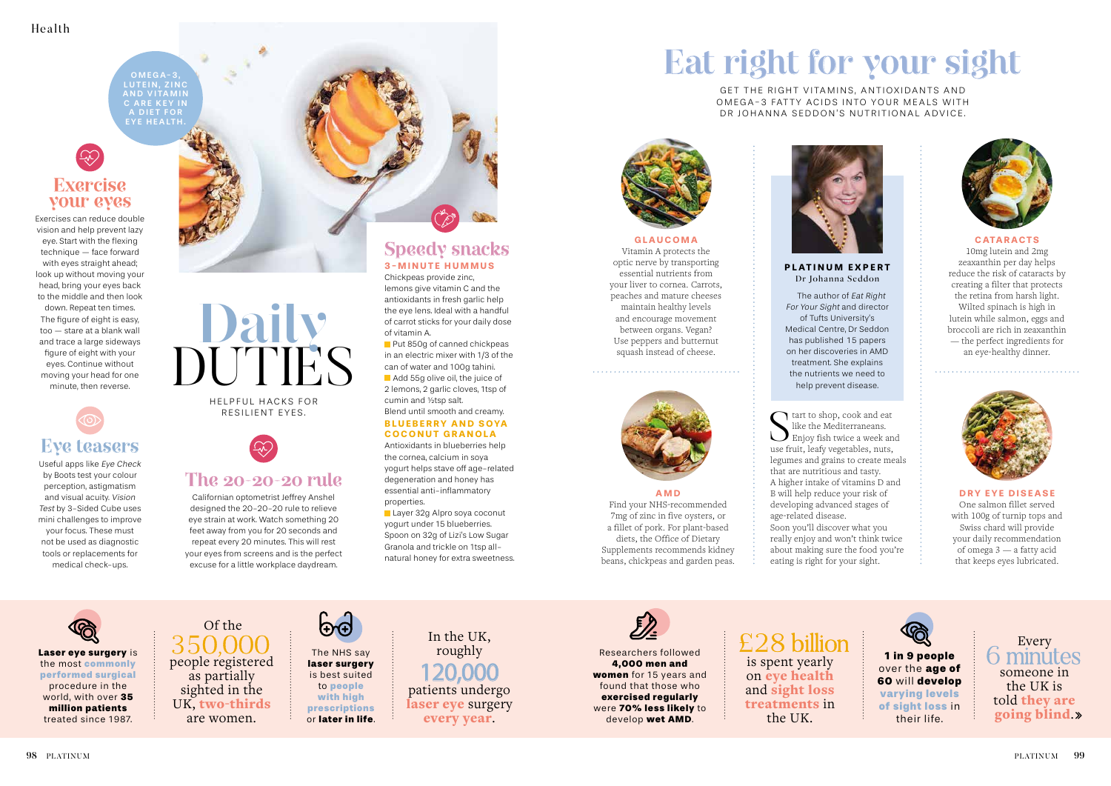Laser eye surgery is the most commonly

performed surgical procedure in the world, with over 35 million patients treated since 1987.

The NHS say laser surgery is best suited to people with high prescriptions or later in life.

Of the 350.000 people registered as partially sighted in the UK, two-thirds are women.



In the UK, roughly 120,000 patients undergo laser eye surgery every year.



## **Exercise your eyes**

Exercises can reduce double vision and help prevent lazy eye. Start with the flexing technique — face forward with eyes straight ahead; look up without moving your head, bring your eyes back to the middle and then look down. Repeat ten times. The figure of eight is easy, too — stare at a blank wall and trace a large sideways figure of eight with your eyes. Continue without moving your head for one minute, then reverse.

> HELPFUL HACKS FOR RESILIENT EYES.



**Put 850g of canned chickpeas** in an electric mixer with 1/3 of the can of water and 100g tahini.

## **The 20-20-20 rule**

Add 55g olive oil, the juice of 2 lemons, 2 garlic cloves, 1tsp of cumin and ½tsp salt. Blend until smooth and creamy.

### **BLUEBERRY AND SOYA COCONUT GRANOLA**

Californian optometrist Jeffrey Anshel designed the 20-20-20 rule to relieve eye strain at work. Watch something 20 feet away from you for 20 seconds and repeat every 20 minutes. This will rest your eyes from screens and is the perfect excuse for a little workplace daydream.

Layer 32g Alpro soya coconut yogurt under 15 blueberries. Spoon on 32g of Lizi's Low Sugar Granola and trickle on 1tsp allnatural honey for extra sweetness.



# **Eye teasers**

## £28 billion is spent yearly on eye health and sight loss treatments in

Useful apps like Eye Check by Boots test your colour perception, astigmatism and visual acuity. Vision Test by 3-Sided Cube uses mini challenges to improve your focus. These must not be used as diagnostic tools or replacements for medical check-ups.

## **Speedy snacks 3-MINUTE HUMMUS**

Chickpeas provide zinc, lemons give vitamin C and the antioxidants in fresh garlic help the eye lens. Ideal with a handful of carrot sticks for your daily dose of vitamin A.

#### GET THE RIGHT VITAMINS, ANTIOXIDANTS AND OMEGA-3 FATTY ACIDS INTO YOUR MEALS WITH DR JOHANNA SEDDON'S NUTRITIONAL ADVICE.

Antioxidants in blueberries help the cornea, calcium in soya yogurt helps stave off age-related degeneration and honey has essential anti-inflammatory properties.

start to shop, cook and eat like the Mediterraneans. **E**njoy fish twice a week and use fruit, leafy vegetables, nuts, legumes and grains to create meals that are nutritious and tasty. A higher intake of vitamins D and B will help reduce your risk of developing advanced stages of age-related disease. Soon you'll discover what you really enjoy and won't think twice about making sure the food you're eating is right for your sight.

 $OMEGA-3$ LUTEIN, ZINC **AND VITAMIN** C ARE KEY IN A DIET FOR EYE HEALTH.

> Researchers followed 4,000 men and women for 15 years and found that those who exercised regularly were 70% less likely to

> > develop wet AMD.

the UK.

1 in 9 people over the age of 60 will develop varying levels of sight loss in their life.

**AMD** Find your NHS-recommended 7mg of zinc in five oysters, or a fillet of pork. For plant-based diets, the Office of Dietary Supplements recommends kidney beans, chickpeas and garden peas.

#### **DRY EYE DISEASE**

One salmon fillet served with 100g of turnip tops and Swiss chard will provide your daily recommendation of omega 3 — a fatty acid that keeps eyes lubricated.

# **Eat right for your sight**



**CATARACTS**

10mg lutein and 2mg zeaxanthin per day helps reduce the risk of cataracts by creating a filter that protects the retina from harsh light. Wilted spinach is high in lutein while salmon, eggs and broccoli are rich in zeaxanthin — the perfect ingredients for an eye-healthy dinner.



#### **GLAUCOMA** Vitamin A protects the optic nerve by transporting essential nutrients from your liver to cornea. Carrots, peaches and mature cheeses maintain healthy levels and encourage movement between organs. Vegan? Use peppers and butternut squash instead of cheese.



## **PLATINUM EXPERT**



Dr Johanna Seddon

The author of Eat Right of Tufts University's

For Your Sight and director Medical Centre, Dr Seddon has published 15 papers on her discoveries in AMD treatment. She explains the nutrients we need to help prevent disease.

> Every  $\cap$  minutes someone in the UK is told they are going blind.